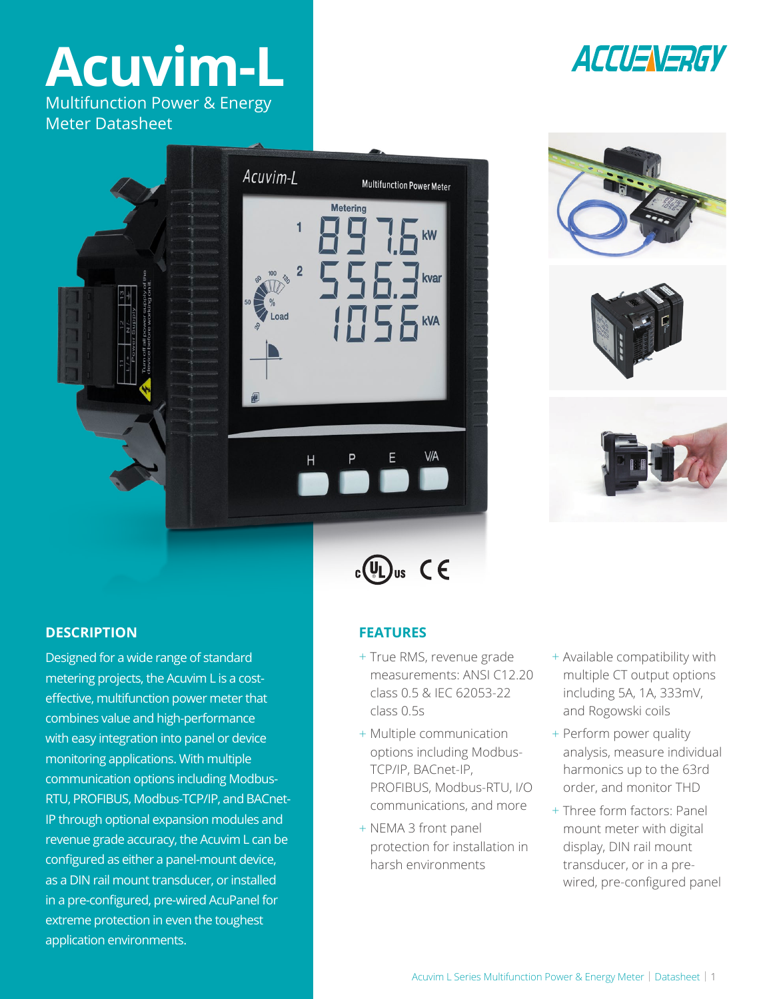# **Acuvim-L**

Multifunction Power & Energy Meter Datasheet

Acuvim-L









Designed for a wide range of standard metering projects, the Acuvim L is a costeffective, multifunction power meter that combines value and high-performance with easy integration into panel or device monitoring applications. With multiple communication options including Modbus-RTU, PROFIBUS, Modbus-TCP/IP, and BACnet-IP through optional expansion modules and revenue grade accuracy, the Acuvim L can be configured as either a panel-mount device, as a DIN rail mount transducer, or installed in a pre-configured, pre-wired AcuPanel for extreme protection in even the toughest application environments.

## $c \bigcirc \overline{\bigcirc}$ us  $C \in$

Multifunction Power Meter

 $F_{\text{kVA}}$ 

**Metering** 

Η

- + True RMS, revenue grade measurements: ANSI C12.20 class 0.5 & IEC 62053-22 class 0.5s
- + Multiple communication options including Modbus-TCP/IP, BACnet-IP, PROFIBUS, Modbus-RTU, I/O communications, and more
- + NEMA 3 front panel protection for installation in harsh environments
- + Available compatibility with multiple CT output options including 5A, 1A, 333mV, and Rogowski coils
- + Perform power quality analysis, measure individual harmonics up to the 63rd order, and monitor THD
- + Three form factors: Panel mount meter with digital display, DIN rail mount transducer, or in a prewired, pre-configured panel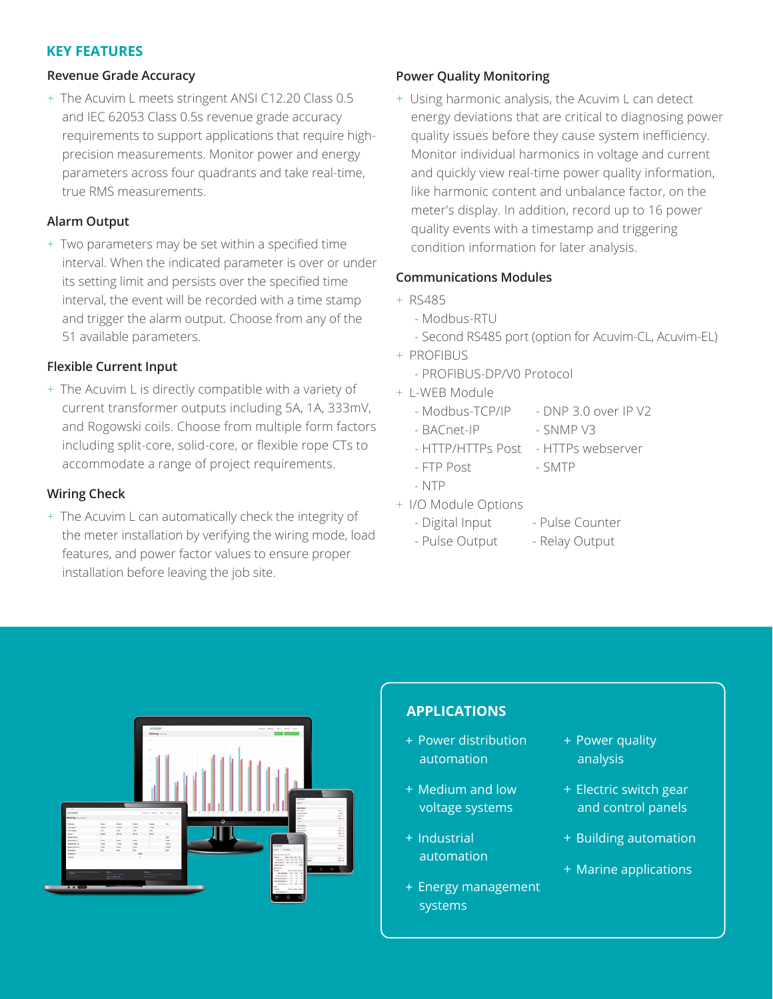#### **KEY FEATURES**

#### **Revenue Grade Accuracy**

+ The Acuvim L meets stringent ANSI C12.20 Class 0.5 and IEC 62053 Class 0.5s revenue grade accuracy requirements to support applications that require highprecision measurements. Monitor power and energy parameters across four quadrants and take real-time, true RMS measurements.

#### **Alarm Output**

+ Two parameters may be set within a specified time interval. When the indicated parameter is over or under its setting limit and persists over the specified time interval, the event will be recorded with a time stamp and trigger the alarm output. Choose from any of the 51 available parameters.

#### **Flexible Current Input**

+ The Acuvim L is directly compatible with a variety of current transformer outputs including 5A, 1A, 333mV, and Rogowski coils. Choose from multiple form factors including split-core, solid-core, or flexible rope CTs to accommodate a range of project requirements.

#### **Wiring Check**

+ The Acuvim L can automatically check the integrity of the meter installation by verifying the wiring mode, load features, and power factor values to ensure proper installation before leaving the job site.

#### **Power Quality Monitoring**

+ Using harmonic analysis, the Acuvim L can detect energy deviations that are critical to diagnosing power quality issues before they cause system inefficiency. Monitor individual harmonics in voltage and current and quickly view real-time power quality information, like harmonic content and unbalance factor, on the meter's display. In addition, record up to 16 power quality events with a timestamp and triggering condition information for later analysis.

#### **Communications Modules**

- + RS485
	- Modbus-RTU
	- Second RS485 port (option for Acuvim-CL, Acuvim-EL)
- + PROFIBUS
	- PROFIBUS-DP/V0 Protocol
- + L-WEB Module
	- Modbus-TCP/IP DNP 3.0 over IP V2
	- BACnet-IP SNMP V3
	- HTTP/HTTPs Post HTTPs webserver
	- FTP Post SMTP
	- NTP
- + I/O Module Options
	- Digital Input Pulse Counter
	- Pulse Output Relay Output



### **APPLICATIONS**

- + Power distribution automation
- + Medium and low voltage systems
- + Industrial automation
- + Energy management systems
- + Power quality analysis
- + Electric switch gear and control panels
- + Building automation
- + Marine applications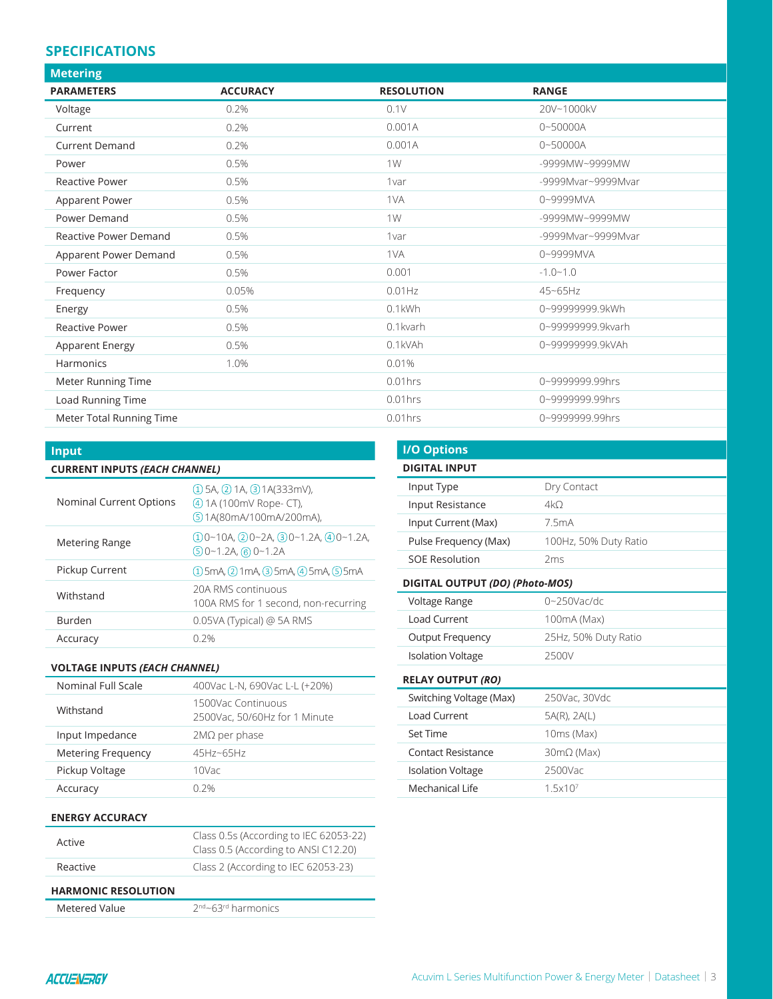#### **SPECIFICATIONS**

| <b>Metering</b>              |                 |                   |                    |
|------------------------------|-----------------|-------------------|--------------------|
| <b>PARAMETERS</b>            | <b>ACCURACY</b> | <b>RESOLUTION</b> | <b>RANGE</b>       |
| Voltage                      | 0.2%            | 0.1V              | 20V~1000kV         |
| Current                      | 0.2%            | 0.001A            | $0 - 50000A$       |
| <b>Current Demand</b>        | 0.2%            | 0.001A            | $0 - 50000A$       |
| Power                        | 0.5%            | 1W                | -9999MW~9999MW     |
| Reactive Power               | 0.5%            | 1var              | -9999Mvar~9999Mvar |
| Apparent Power               | 0.5%            | 1VA               | 0~9999MVA          |
| Power Demand                 | 0.5%            | 1W                | -9999MW~9999MW     |
| <b>Reactive Power Demand</b> | 0.5%            | 1var              | -9999Mvar~9999Mvar |
| Apparent Power Demand        | 0.5%            | 1VA               | 0~9999MVA          |
| Power Factor                 | 0.5%            | 0.001             | $-1.0 - 1.0$       |
| Frequency                    | 0.05%           | $0.01$ Hz         | 45~65Hz            |
| Energy                       | 0.5%            | 0.1kWh            | 0~99999999.9kWh    |
| <b>Reactive Power</b>        | 0.5%            | 0.1kvarh          | 0~99999999.9kvarh  |
| Apparent Energy              | 0.5%            | 0.1kVAh           | 0~99999999.9kVAh   |
| Harmonics                    | 1.0%            | 0.01%             |                    |
| Meter Running Time           |                 | $0.01$ hrs        | 0~9999999.99hrs    |
| Load Running Time            |                 | $0.01$ hrs        | 0~9999999.99hrs    |
| Meter Total Running Time     |                 | $0.01$ hrs        | 0~9999999.99hrs    |

Í.

| <b>Input</b>                         |                                                                                               |  |
|--------------------------------------|-----------------------------------------------------------------------------------------------|--|
| <b>CURRENT INPUTS (EACH CHANNEL)</b> |                                                                                               |  |
| Nominal Current Options              | $(1)$ 5A, $(2)$ 1A, $(3)$ 1A(333mV),<br>(4) 1A (100mV Rope- CT),<br>(5) 1A(80mA/100mA/200mA), |  |
| <b>Metering Range</b>                | $(1)0-10A$ , $(2)0-2A$ , $(3)0-1.2A$ , $(4)0-1.2A$ ,<br>$(5)0 - 1.2A$ , (6) 0 ~ 1.2A          |  |
| Pickup Current                       | $(1)$ 5mA, $(2)$ 1mA, $(3)$ 5mA, $(4)$ 5mA, $(5)$ 5mA                                         |  |
| Withstand                            | 20A RMS continuous<br>100A RMS for 1 second, non-recurring                                    |  |
| <b>Burden</b>                        | $0.05VA$ (Typical) @ 5A RMS                                                                   |  |
| Accuracy                             | በ 2%                                                                                          |  |

#### **VOLTAGE INPUTS** *(EACH CHANNEL)*

| Nominal Full Scale        | 400Vac L-N, 690Vac L-L (+20%)                       |
|---------------------------|-----------------------------------------------------|
| Withstand                 | 1500Vac Continuous<br>2500Vac, 50/60Hz for 1 Minute |
| Input Impedance           | $2M\Omega$ per phase                                |
| <b>Metering Frequency</b> | 45Hz~65Hz                                           |
| Pickup Voltage            | 10Vac                                               |
| Accuracy                  | 0.2%                                                |

#### **ENERGY ACCURACY**

| <b>HARMONIC RESOLUTION</b> |                                                                                |
|----------------------------|--------------------------------------------------------------------------------|
| Reactive                   | Class 2 (According to IEC 62053-23)                                            |
| Active                     | Class 0.5s (According to IEC 62053-22)<br>Class 0.5 (According to ANSI C12.20) |

Metered Value  $2^{nd}$   $63^{rd}$  harmonics

| <b>I/O Options</b>              |                       |
|---------------------------------|-----------------------|
| <b>DIGITAL INPUT</b>            |                       |
| Input Type                      | Dry Contact           |
| Input Resistance                | 4kO                   |
| Input Current (Max)             | 7.5mA                 |
| Pulse Frequency (Max)           | 100Hz, 50% Duty Ratio |
| <b>SOF Resolution</b>           | 2ms                   |
| DIGITAL OUTPUT (DO) (Photo-MOS) |                       |
| Voltage Range                   | $0 \sim 250$ Vac/dc   |
| Load Current                    | 100mA (Max)           |
| <b>Output Frequency</b>         | 25Hz, 50% Duty Ratio  |
| <b>Isolation Voltage</b>        | 2500V                 |
| <b>RELAY OUTPUT (RO)</b>        |                       |
| Switching Voltage (Max)         | 250Vac, 30Vdc         |
| <b>Load Current</b>             | 5A(R), 2A(L)          |
| Set Time                        | 10ms (Max)            |
| Contact Resistance              | $30 \text{mA}$ (Max)  |
| <b>Isolation Voltage</b>        | 2500Vac               |
| Mechanical Life                 | 1.5x10 <sup>7</sup>   |
|                                 |                       |

|  |  | <b>CONTRACTOR</b> |
|--|--|-------------------|
|  |  |                   |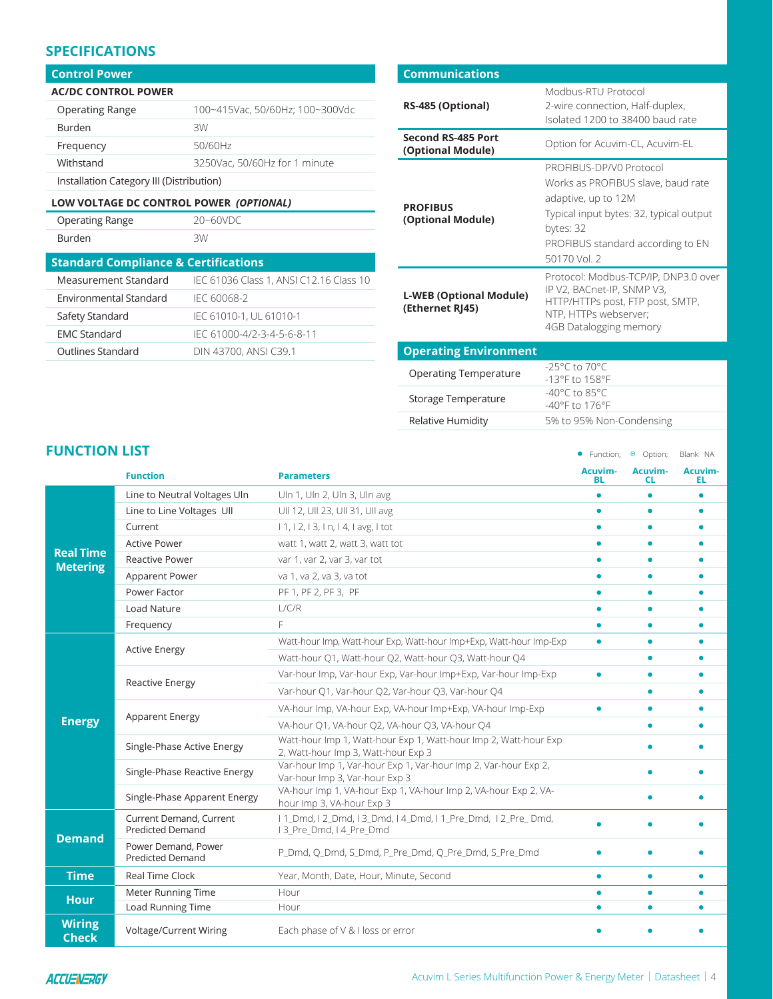#### **SPECIFICATIONS**

#### **Control Power**

| <b>AC/DC CONTROL POWER</b>               |                                 |
|------------------------------------------|---------------------------------|
| <b>Operating Range</b>                   | 100~415Vac, 50/60Hz; 100~300Vdc |
| <b>Burden</b>                            | 3W                              |
| Frequency                                | 50/60Hz                         |
| Withstand                                | 3250Vac, 50/60Hz for 1 minute   |
| Installation Category III (Distribution) |                                 |

**LOW VOLTAGE DC CONTROL POWER** *(OPTIONAL)*

| <b>Operating Rang</b> |
|-----------------------|
| Burden                |

 $ge$  20~60VDC

| 3W |
|----|
|----|

| .<br>ν<br>ъ.<br>г.<br>$- \cdot \cdot$ |
|---------------------------------------|
|                                       |
|                                       |
|                                       |

| <b>Standard Compliance &amp; Certifications</b> |                                         |  |
|-------------------------------------------------|-----------------------------------------|--|
| Measurement Standard                            | IEC 61036 Class 1, ANSI C12.16 Class 10 |  |
| Environmental Standard                          | IFC 60068-2                             |  |
| Safety Standard                                 | IEC 61010-1, UL 61010-1                 |  |
| <b>EMC Standard</b>                             | IFC 61000-4/2-3-4-5-6-8-11              |  |
| Outlines Standard                               | DIN 43700, ANSI C39.1                   |  |

| <b>Communications</b>                             |                                                                                                                                                                                                   |
|---------------------------------------------------|---------------------------------------------------------------------------------------------------------------------------------------------------------------------------------------------------|
| RS-485 (Optional)                                 | Modbus-RTU Protocol<br>2-wire connection, Half-duplex,<br>Isolated 1200 to 38400 baud rate                                                                                                        |
| <b>Second RS-485 Port</b><br>(Optional Module)    | Option for Acuvim-CL, Acuvim-EL                                                                                                                                                                   |
| <b>PROFIBUS</b><br>(Optional Module)              | PROFIBUS-DP/V0 Protocol<br>Works as PROFIBUS slave, baud rate<br>adaptive, up to 12M<br>Typical input bytes: 32, typical output<br>bytes: 32<br>PROFIBUS standard according to EN<br>50170 Vol. 2 |
| <b>L-WEB (Optional Module)</b><br>(Ethernet RJ45) | Protocol: Modbus-TCP/IP, DNP3.0 over<br>IP V2, BACnet-IP, SNMP V3,<br>HTTP/HTTPs post, FTP post, SMTP,<br>NTP, HTTPs webserver;<br>4GB Datalogging memory                                         |

#### **Operating Environment**

| <b>Operating Temperature</b> | $-25^{\circ}$ C to 70 °C<br>$-13^{\circ}$ F to $158^{\circ}$ F |
|------------------------------|----------------------------------------------------------------|
| Storage Temperature          | $-40^{\circ}$ C to 85°C<br>$-40^{\circ}$ F to 176°F            |
| Relative Humidity            | 5% to 95% Non-Condensing                                       |

#### **FUNCTION LIST**

| <b>FUNCTION LIST</b>                |                                                    | • Function; • Option;                                                                                   |               | Blank NA      |               |
|-------------------------------------|----------------------------------------------------|---------------------------------------------------------------------------------------------------------|---------------|---------------|---------------|
|                                     | <b>Function</b>                                    | <b>Parameters</b>                                                                                       | Acuvim-<br>BL | Acuvim-<br>СL | Acuvim-<br>EL |
|                                     | Line to Neutral Voltages Uln                       | Uln 1, Uln 2, Uln 3, Uln avg                                                                            |               |               | ۸             |
|                                     | Line to Line Voltages Ull                          | Ull 12, Ull 23, Ull 31, Ull avg                                                                         |               |               |               |
|                                     | Current                                            | $11, 12, 13, 1n, 14, 1$ avg, 1 tot                                                                      |               |               |               |
|                                     | <b>Active Power</b>                                | watt 1, watt 2, watt 3, watt tot                                                                        |               |               |               |
| <b>Real Time</b><br><b>Metering</b> | <b>Reactive Power</b>                              | var 1, var 2, var 3, var tot                                                                            |               |               |               |
|                                     | Apparent Power                                     | va 1, va 2, va 3, va tot                                                                                |               |               |               |
|                                     | Power Factor                                       | PF 1, PF 2, PF 3, PF                                                                                    |               |               |               |
|                                     | <b>Load Nature</b>                                 | L/C/R                                                                                                   |               |               |               |
|                                     | Frequency                                          | F                                                                                                       | $\bullet$     | $\bullet$     | ۰             |
|                                     |                                                    | Watt-hour Imp, Watt-hour Exp, Watt-hour Imp+Exp, Watt-hour Imp-Exp                                      | $\bullet$     |               | ۰             |
|                                     | <b>Active Energy</b>                               | Watt-hour Q1, Watt-hour Q2, Watt-hour Q3, Watt-hour Q4                                                  |               |               |               |
|                                     | Reactive Energy                                    | Var-hour Imp, Var-hour Exp, Var-hour Imp+Exp, Var-hour Imp-Exp                                          | ō             | $\bullet$     |               |
|                                     |                                                    | Var-hour Q1, Var-hour Q2, Var-hour Q3, Var-hour Q4                                                      |               |               |               |
|                                     | Apparent Energy                                    | VA-hour Imp, VA-hour Exp, VA-hour Imp+Exp, VA-hour Imp-Exp                                              |               |               |               |
| <b>Energy</b>                       |                                                    | VA-hour O1, VA-hour O2, VA-hour O3, VA-hour O4                                                          |               |               |               |
|                                     | Single-Phase Active Energy                         | Watt-hour Imp 1, Watt-hour Exp 1, Watt-hour Imp 2, Watt-hour Exp<br>2, Watt-hour Imp 3, Watt-hour Exp 3 |               |               |               |
|                                     | Single-Phase Reactive Energy                       | Var-hour Imp 1, Var-hour Exp 1, Var-hour Imp 2, Var-hour Exp 2,<br>Var-hour Imp 3, Var-hour Exp 3       |               |               |               |
|                                     | Single-Phase Apparent Energy                       | VA-hour Imp 1, VA-hour Exp 1, VA-hour Imp 2, VA-hour Exp 2, VA-<br>hour Imp 3, VA-hour Exp 3            |               |               |               |
|                                     | Current Demand, Current<br><b>Predicted Demand</b> | I 1_Dmd, I 2_Dmd, I 3_Dmd, I 4_Dmd, I 1_Pre_Dmd, I 2_Pre_Dmd,<br>13 Pre_Dmd, I 4 Pre_Dmd                |               |               |               |
| <b>Demand</b>                       | Power Demand, Power<br><b>Predicted Demand</b>     | P_Dmd, Q_Dmd, S_Dmd, P_Pre_Dmd, Q_Pre_Dmd, S_Pre_Dmd                                                    |               |               |               |
| <b>Time</b>                         | Real Time Clock                                    | Year, Month, Date, Hour, Minute, Second                                                                 | $\bullet$     | $\bullet$     | ٠             |
| <b>Hour</b>                         | Meter Running Time                                 | Hour                                                                                                    |               |               |               |
|                                     | Load Running Time                                  | Hour                                                                                                    |               |               |               |
| <b>Wiring</b><br><b>Check</b>       | <b>Voltage/Current Wiring</b>                      | Each phase of V & I loss or error                                                                       |               |               |               |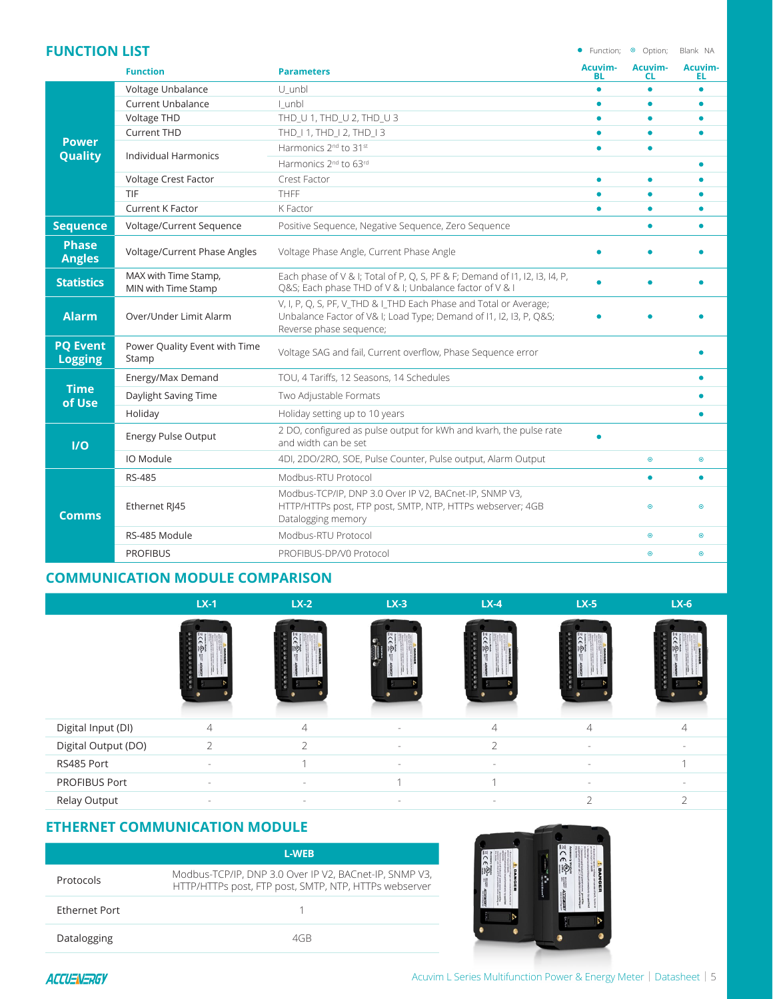#### **FUNCTION LIST** • Function;  $\circ$  Option; Blank NA

|                                   | <b>Function</b>                             | <b>Parameters</b>                                                                                                                                                 | Acuvim-<br>BL | Acuvim-<br>CL. | Acuvim-<br>ΕL |
|-----------------------------------|---------------------------------------------|-------------------------------------------------------------------------------------------------------------------------------------------------------------------|---------------|----------------|---------------|
|                                   | Voltage Unbalance                           | U_unbl                                                                                                                                                            | $\bullet$     | ٠              |               |
|                                   | <b>Current Unbalance</b>                    | I unbl                                                                                                                                                            |               | ٠              |               |
|                                   | Voltage THD                                 | THD_U 1, THD_U 2, THD_U 3                                                                                                                                         |               |                |               |
|                                   | <b>Current THD</b>                          | THD 11, THD 12, THD 13                                                                                                                                            |               |                |               |
| <b>Power</b><br>Quality           |                                             | Harmonics 2 <sup>nd</sup> to 31 <sup>st</sup>                                                                                                                     |               |                |               |
|                                   | <b>Individual Harmonics</b>                 | Harmonics 2 <sup>nd</sup> to 63rd                                                                                                                                 |               |                |               |
|                                   | Voltage Crest Factor                        | Crest Factor                                                                                                                                                      |               | ٠              |               |
|                                   | TIF                                         | <b>THFF</b>                                                                                                                                                       |               | ۰              |               |
|                                   | <b>Current K Factor</b>                     | K Factor                                                                                                                                                          | $\bullet$     | ٠              |               |
| <b>Sequence</b>                   | Voltage/Current Sequence                    | Positive Sequence, Negative Sequence, Zero Sequence                                                                                                               |               | ٠              |               |
| <b>Phase</b><br><b>Angles</b>     | Voltage/Current Phase Angles                | Voltage Phase Angle, Current Phase Angle                                                                                                                          |               |                |               |
| <b>Statistics</b>                 | MAX with Time Stamp,<br>MIN with Time Stamp | Each phase of V & I; Total of P, Q, S, PF & F; Demand of I1, I2, I3, I4, P,<br>Q&S Each phase THD of V & I; Unbalance factor of V & I                             |               |                |               |
| <b>Alarm</b>                      | Over/Under Limit Alarm                      | V, I, P, O, S, PF, V THD & I THD Each Phase and Total or Average;<br>Unbalance Factor of V& I; Load Type; Demand of I1, I2, I3, P, Q&S<br>Reverse phase sequence; |               |                |               |
| <b>PQ Event</b><br><b>Logging</b> | Power Quality Event with Time<br>Stamp      | Voltage SAG and fail, Current overflow, Phase Sequence error                                                                                                      |               |                |               |
|                                   | Energy/Max Demand                           | TOU, 4 Tariffs, 12 Seasons, 14 Schedules                                                                                                                          |               |                |               |
| <b>Time</b><br>of Use             | Daylight Saving Time                        | Two Adjustable Formats                                                                                                                                            |               |                |               |
|                                   | Holiday                                     | Holiday setting up to 10 years                                                                                                                                    |               |                |               |
| 1/0                               | <b>Energy Pulse Output</b>                  | 2 DO, configured as pulse output for kWh and kvarh, the pulse rate<br>and width can be set                                                                        |               |                |               |
|                                   | IO Module                                   | 4DI, 2DO/2RO, SOE, Pulse Counter, Pulse output, Alarm Output                                                                                                      |               | $\odot$        | $\odot$       |
|                                   | <b>RS-485</b>                               | Modbus-RTU Protocol                                                                                                                                               |               | $\bullet$      | $\bullet$     |
| <b>Comms</b>                      | Ethernet RI45                               | Modbus-TCP/IP, DNP 3.0 Over IP V2, BACnet-IP, SNMP V3,<br>HTTP/HTTPs post, FTP post, SMTP, NTP, HTTPs webserver; 4GB<br>Datalogging memory                        |               | $\bullet$      | $\odot$       |
|                                   | RS-485 Module                               | Modbus-RTU Protocol                                                                                                                                               |               | $\odot$        | $\odot$       |
|                                   | <b>PROFIBUS</b>                             | PROFIBUS-DP/V0 Protocol                                                                                                                                           |               | $\odot$        | $\odot$       |

#### **COMMUNICATION MODULE COMPARISON**

|                     | $LX-1$         | $LX-2$         | $LX-3$ | $LX-4$    | $LX-5$         | $LX-6$ |
|---------------------|----------------|----------------|--------|-----------|----------------|--------|
|                     |                |                |        |           |                |        |
| Digital Input (DI)  | $\overline{4}$ | $\overline{4}$ | ۰      | 4         | $\overline{4}$ |        |
| Digital Output (DO) | $\mathfrak{D}$ | $\mathcal{P}$  |        | $\bigcap$ |                |        |
| RS485 Port          |                | $\overline{a}$ |        | ۰         |                |        |
| PROFIBUS Port       | $\sim$         | $\sim$         |        |           | $\sim$         |        |
| Relay Output        | $\sim$         | $\sim$         | $\sim$ |           | $\mathcal{L}$  |        |

#### **ETHERNET COMMUNICATION MODULE**

|                      | <b>L-WEB</b>                                                                                                    |
|----------------------|-----------------------------------------------------------------------------------------------------------------|
| Protocols            | Modbus-TCP/IP, DNP 3.0 Over IP V2, BACnet-IP, SNMP V3,<br>HTTP/HTTPs post, FTP post, SMTP, NTP, HTTPs webserver |
| <b>Ethernet Port</b> |                                                                                                                 |
| Datalogging          | 4GR                                                                                                             |

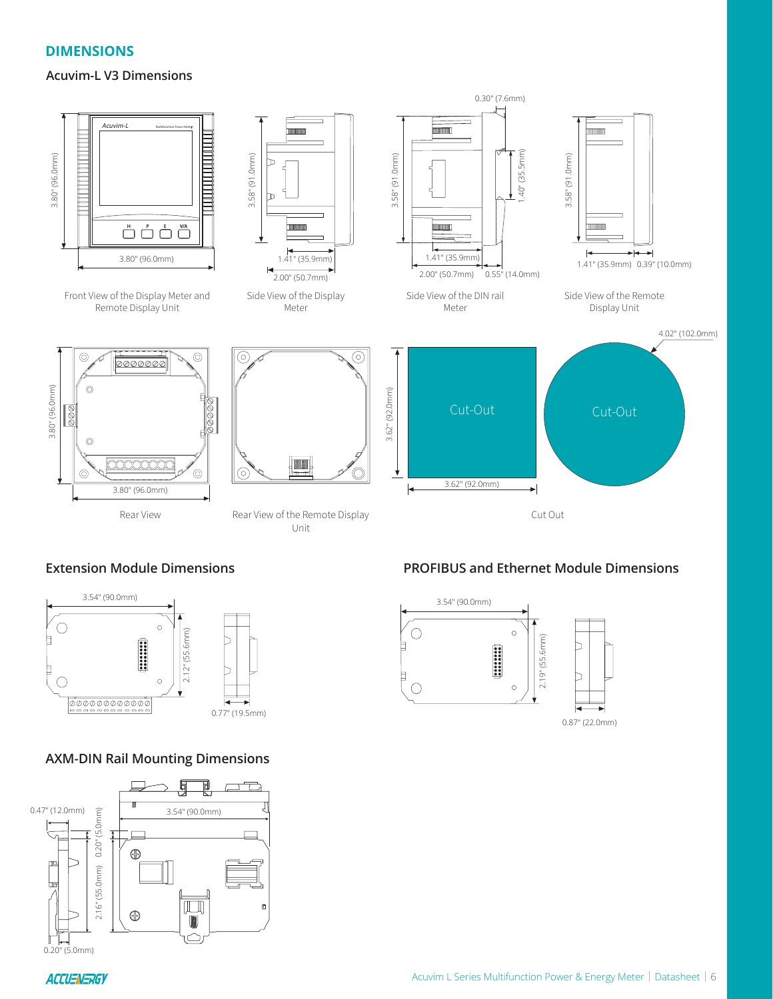#### **DIMENSIONS**

#### **Acuvim-L V3 Dimensions**



#### **Extension Module Dimensions**



#### **AXM-DIN Rail Mounting Dimensions**



#### **PROFIBUS and Ethernet Module Dimensions**



0.87" (22.0mm)

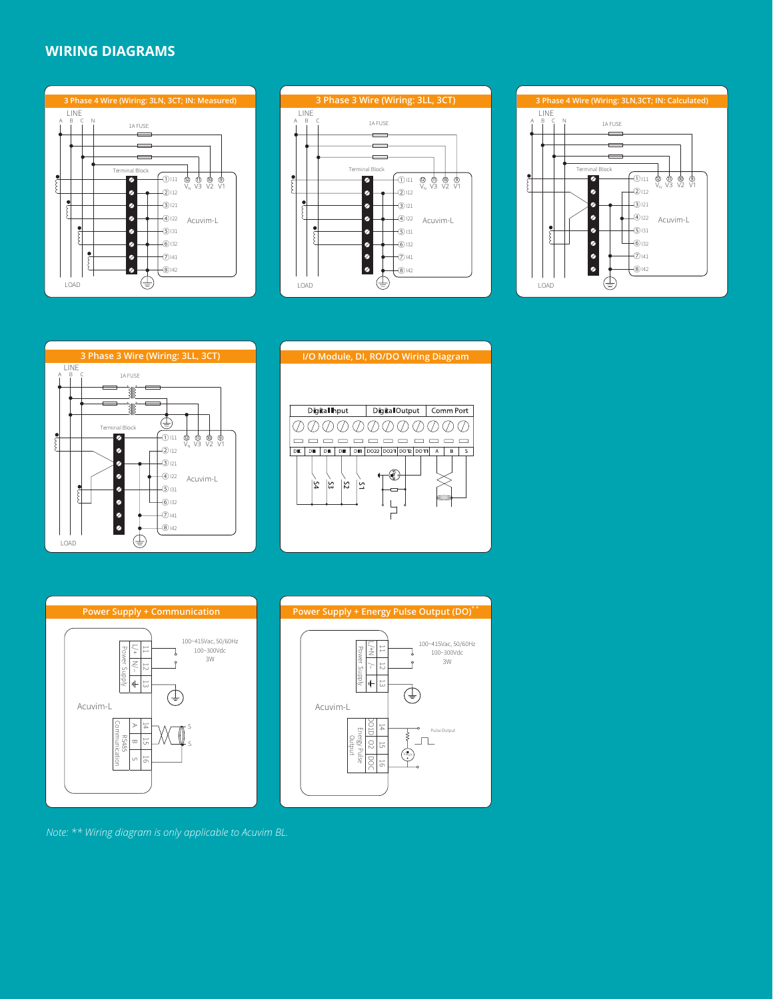#### **WIRING DIAGRAMS**











**I/O Module, DI, RO/DO Wiring Diagram**





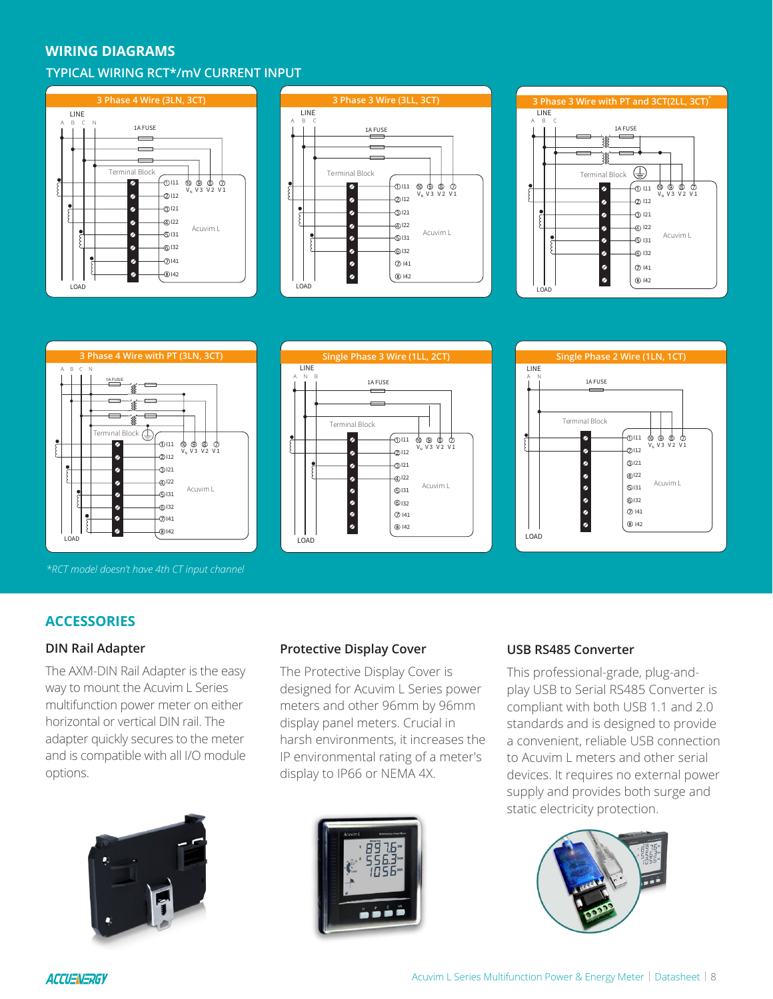#### **WIRING DIAGRAMS**

#### **TYPICAL WIRING RCT\*/mV CURRENT INPUT**









*\*RCT model doesn't have 4th CT input channel*





#### **ACCESSORIES**

#### **DIN Rail Adapter**

The AXM-DIN Rail Adapter is the easy way to mount the Acuvim L Series multifunction power meter on either horizontal or vertical DIN rail. The adapter quickly secures to the meter and is compatible with all I/O module options.



#### **Protective Display Cover**

The Protective Display Cover is designed for Acuvim L Series power meters and other 96mm by 96mm display panel meters. Crucial in harsh environments, it increases the IP environmental rating of a meter's display to IP66 or NEMA 4X.



#### **USB RS485 Converter**

This professional-grade, plug-andplay USB to Serial RS485 Converter is compliant with both USB 1.1 and 2.0 standards and is designed to provide a convenient, reliable USB connection to Acuvim L meters and other serial devices. It requires no external power supply and provides both surge and static electricity protection.